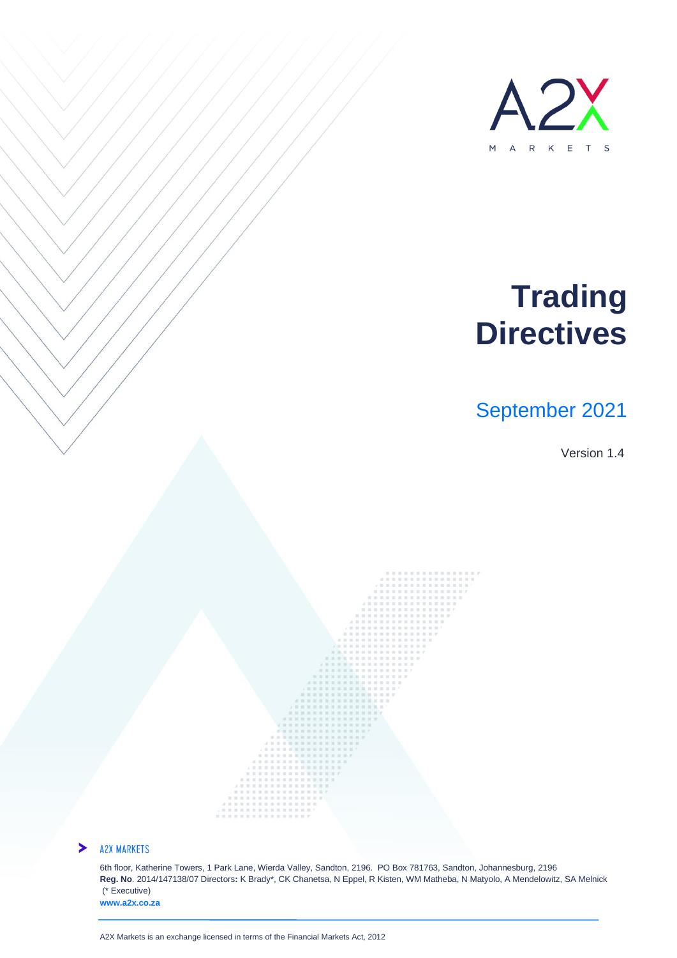

# **Trading Directives**

# September 2021

Version 1.4



#### **A2X MARKETS**

6th floor, Katherine Towers, 1 Park Lane, Wierda Valley, Sandton, 2196. PO Box 781763, Sandton, Johannesburg, 2196 **Reg. No**. 2014/147138/07 Directors**:** K Brady\*, CK Chanetsa, N Eppel, R Kisten, WM Matheba, N Matyolo, A Mendelowitz, SA Melnick (\* Executive) **www.a2x.co.za**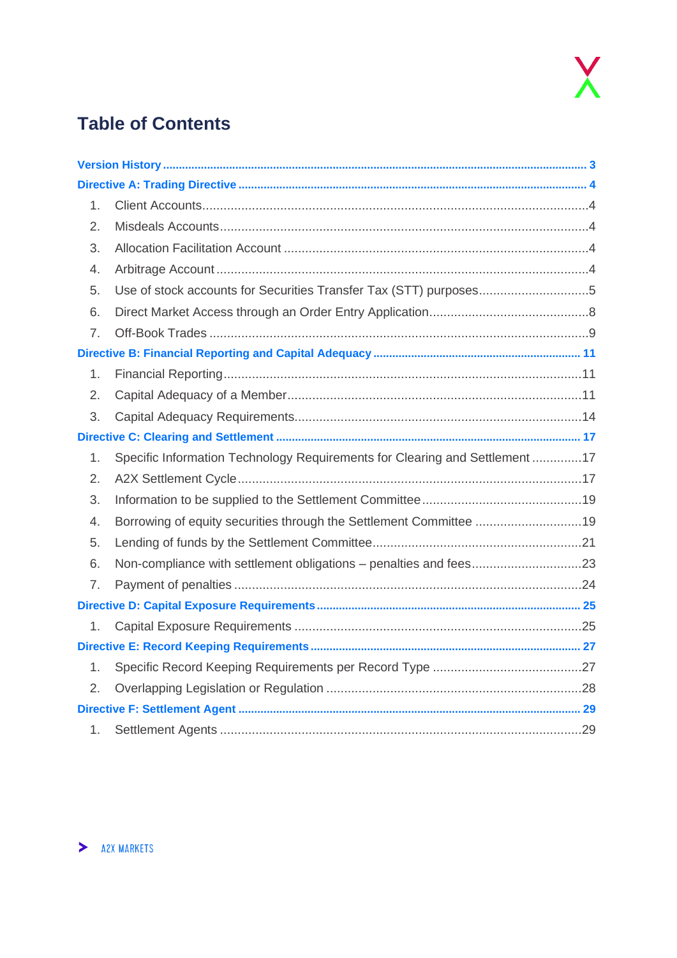

# **Table of Contents**

| 1. |                                                                             |  |
|----|-----------------------------------------------------------------------------|--|
| 2. |                                                                             |  |
| 3. |                                                                             |  |
| 4. |                                                                             |  |
| 5. | Use of stock accounts for Securities Transfer Tax (STT) purposes5           |  |
| 6. |                                                                             |  |
| 7. |                                                                             |  |
|    |                                                                             |  |
| 1. |                                                                             |  |
| 2. |                                                                             |  |
| 3. |                                                                             |  |
|    |                                                                             |  |
| 1. | Specific Information Technology Requirements for Clearing and Settlement 17 |  |
| 2. |                                                                             |  |
| 3. |                                                                             |  |
| 4. | Borrowing of equity securities through the Settlement Committee 19          |  |
| 5. |                                                                             |  |
| 6. |                                                                             |  |
| 7. |                                                                             |  |
|    |                                                                             |  |
| 1. |                                                                             |  |
|    |                                                                             |  |
| 1. |                                                                             |  |
| 2. |                                                                             |  |
|    |                                                                             |  |
| 1. |                                                                             |  |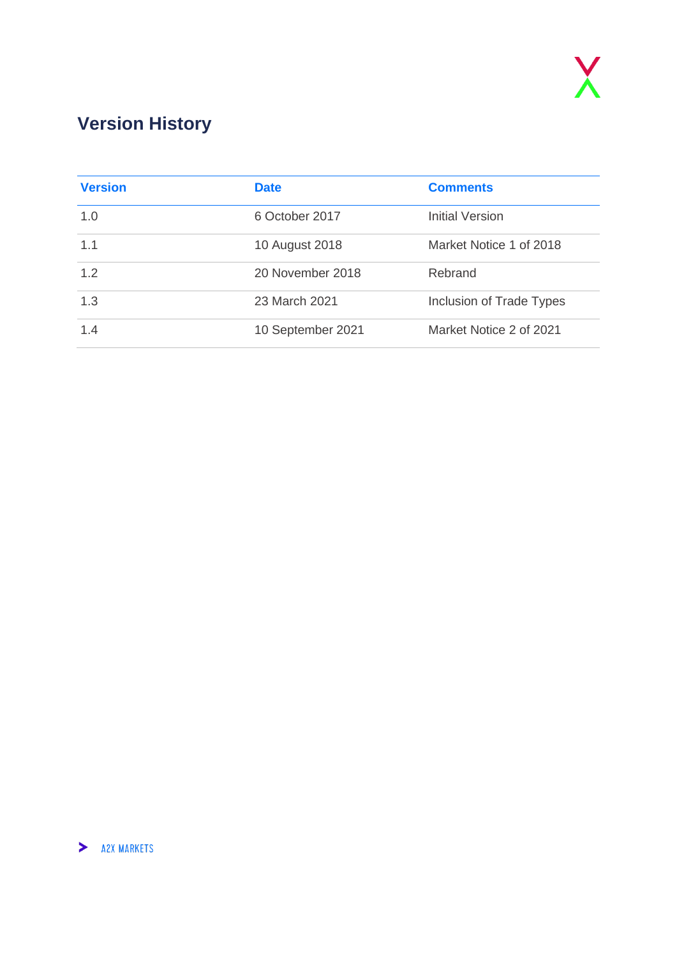# <span id="page-2-0"></span>**Version History**

| <b>Version</b> | <b>Date</b>       | <b>Comments</b>          |
|----------------|-------------------|--------------------------|
| 1.0            | 6 October 2017    | <b>Initial Version</b>   |
| 1.1            | 10 August 2018    | Market Notice 1 of 2018  |
| 1.2            | 20 November 2018  | Rebrand                  |
| 1.3            | 23 March 2021     | Inclusion of Trade Types |
| 1.4            | 10 September 2021 | Market Notice 2 of 2021  |

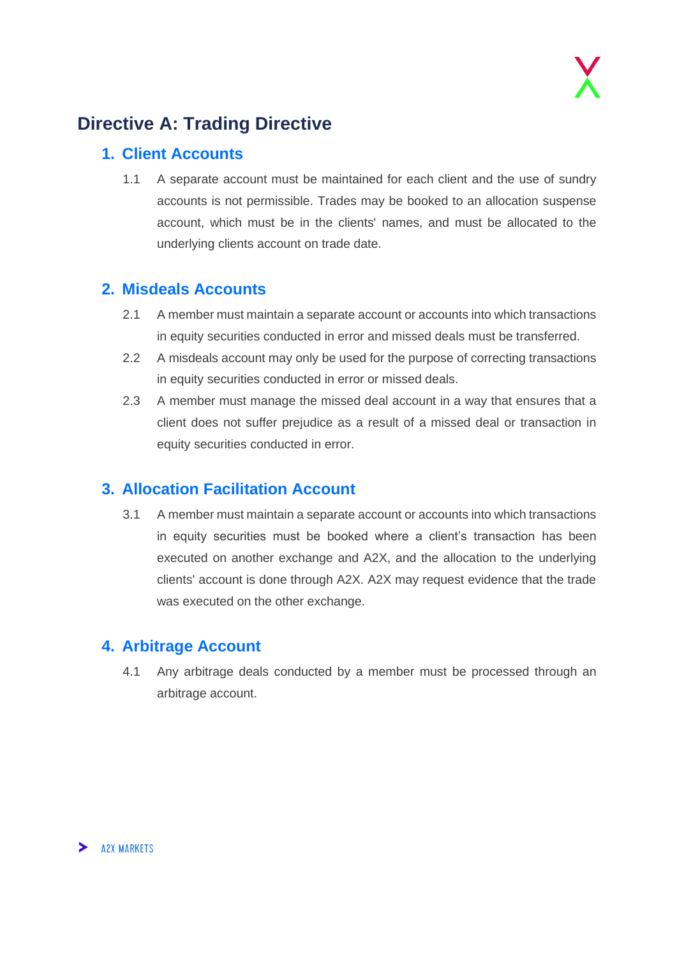# <span id="page-3-0"></span>**Directive A: Trading Directive**

### <span id="page-3-1"></span>**1. Client Accounts**

1.1 A separate account must be maintained for each client and the use of sundry accounts is not permissible. Trades may be booked to an allocation suspense account, which must be in the clients' names, and must be allocated to the underlying clients account on trade date.

### <span id="page-3-2"></span>**2. Misdeals Accounts**

- 2.1 A member must maintain a separate account or accounts into which transactions in equity securities conducted in error and missed deals must be transferred.
- 2.2 A misdeals account may only be used for the purpose of correcting transactions in equity securities conducted in error or missed deals.
- 2.3 A member must manage the missed deal account in a way that ensures that a client does not suffer prejudice as a result of a missed deal or transaction in equity securities conducted in error.

### <span id="page-3-3"></span>**3. Allocation Facilitation Account**

3.1 A member must maintain a separate account or accounts into which transactions in equity securities must be booked where a client's transaction has been executed on another exchange and A2X, and the allocation to the underlying clients' account is done through A2X. A2X may request evidence that the trade was executed on the other exchange.

### <span id="page-3-4"></span>**4. Arbitrage Account**

4.1 Any arbitrage deals conducted by a member must be processed through an arbitrage account.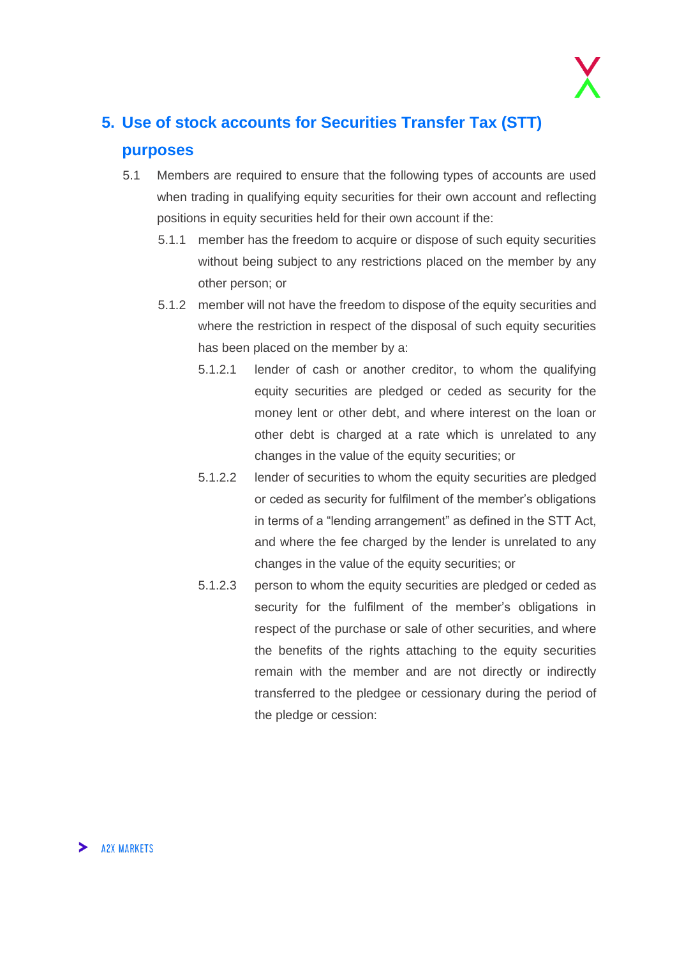# <span id="page-4-0"></span>**5. Use of stock accounts for Securities Transfer Tax (STT) purposes**

- 5.1 Members are required to ensure that the following types of accounts are used when trading in qualifying equity securities for their own account and reflecting positions in equity securities held for their own account if the:
	- 5.1.1 member has the freedom to acquire or dispose of such equity securities without being subject to any restrictions placed on the member by any other person; or
	- 5.1.2 member will not have the freedom to dispose of the equity securities and where the restriction in respect of the disposal of such equity securities has been placed on the member by a:
		- 5.1.2.1 lender of cash or another creditor, to whom the qualifying equity securities are pledged or ceded as security for the money lent or other debt, and where interest on the loan or other debt is charged at a rate which is unrelated to any changes in the value of the equity securities; or
		- 5.1.2.2 lender of securities to whom the equity securities are pledged or ceded as security for fulfilment of the member's obligations in terms of a "lending arrangement" as defined in the STT Act, and where the fee charged by the lender is unrelated to any changes in the value of the equity securities; or
		- 5.1.2.3 person to whom the equity securities are pledged or ceded as security for the fulfilment of the member's obligations in respect of the purchase or sale of other securities, and where the benefits of the rights attaching to the equity securities remain with the member and are not directly or indirectly transferred to the pledgee or cessionary during the period of the pledge or cession: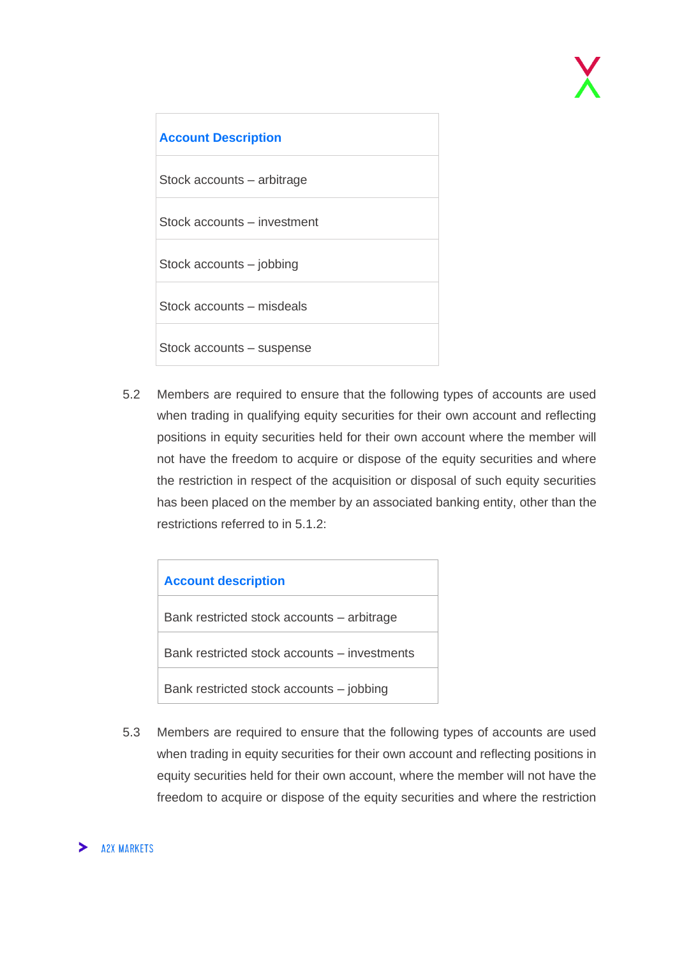

5.2 Members are required to ensure that the following types of accounts are used when trading in qualifying equity securities for their own account and reflecting positions in equity securities held for their own account where the member will not have the freedom to acquire or dispose of the equity securities and where the restriction in respect of the acquisition or disposal of such equity securities has been placed on the member by an associated banking entity, other than the restrictions referred to in 5.1.2:

| <b>Account description</b>                   |
|----------------------------------------------|
| Bank restricted stock accounts – arbitrage   |
| Bank restricted stock accounts - investments |
| Bank restricted stock accounts – jobbing     |

5.3 Members are required to ensure that the following types of accounts are used when trading in equity securities for their own account and reflecting positions in equity securities held for their own account, where the member will not have the freedom to acquire or dispose of the equity securities and where the restriction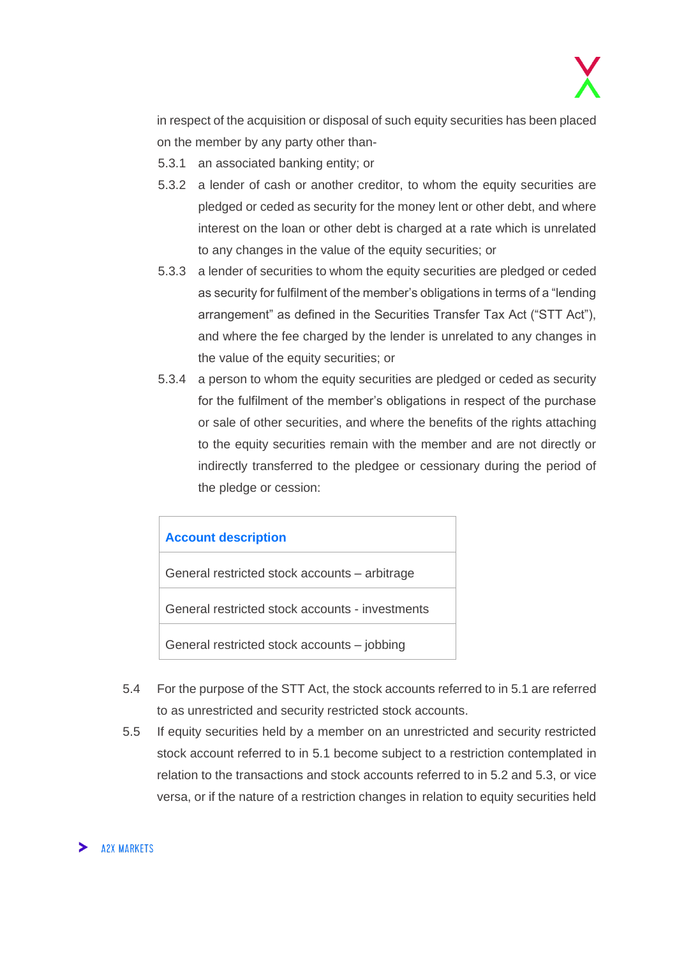in respect of the acquisition or disposal of such equity securities has been placed on the member by any party other than-

- 5.3.1 an associated banking entity; or
- 5.3.2 a lender of cash or another creditor, to whom the equity securities are pledged or ceded as security for the money lent or other debt, and where interest on the loan or other debt is charged at a rate which is unrelated to any changes in the value of the equity securities; or
- 5.3.3 a lender of securities to whom the equity securities are pledged or ceded as security for fulfilment of the member's obligations in terms of a "lending arrangement" as defined in the Securities Transfer Tax Act ("STT Act"), and where the fee charged by the lender is unrelated to any changes in the value of the equity securities; or
- 5.3.4 a person to whom the equity securities are pledged or ceded as security for the fulfilment of the member's obligations in respect of the purchase or sale of other securities, and where the benefits of the rights attaching to the equity securities remain with the member and are not directly or indirectly transferred to the pledgee or cessionary during the period of the pledge or cession:



- 5.4 For the purpose of the STT Act, the stock accounts referred to in 5.1 are referred to as unrestricted and security restricted stock accounts.
- 5.5 If equity securities held by a member on an unrestricted and security restricted stock account referred to in 5.1 become subject to a restriction contemplated in relation to the transactions and stock accounts referred to in 5.2 and 5.3, or vice versa, or if the nature of a restriction changes in relation to equity securities held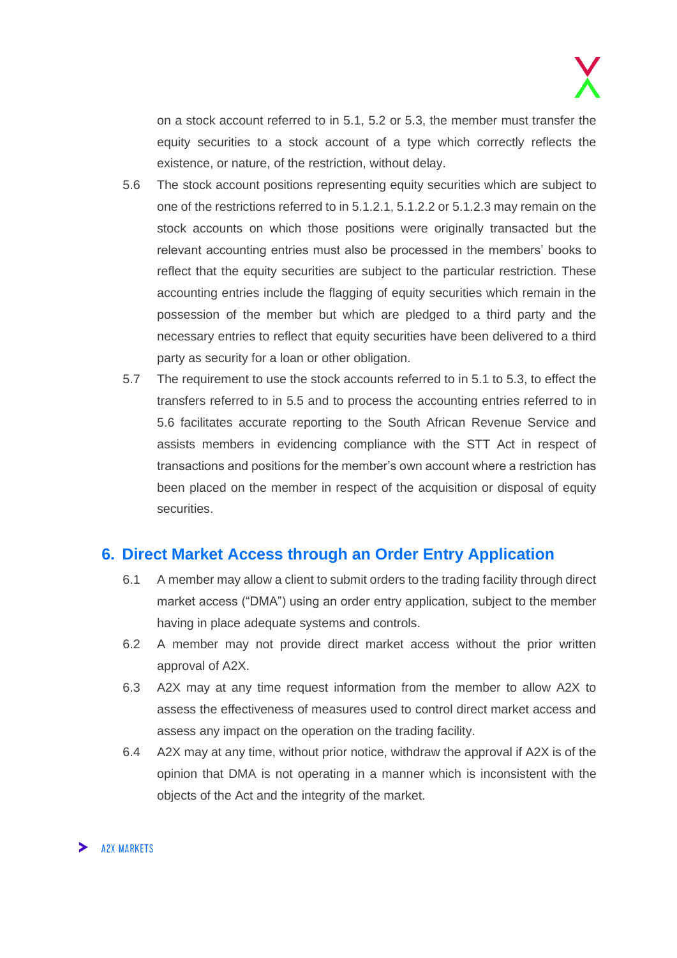on a stock account referred to in 5.1, 5.2 or 5.3, the member must transfer the equity securities to a stock account of a type which correctly reflects the existence, or nature, of the restriction, without delay.

- 5.6 The stock account positions representing equity securities which are subject to one of the restrictions referred to in 5.1.2.1, 5.1.2.2 or 5.1.2.3 may remain on the stock accounts on which those positions were originally transacted but the relevant accounting entries must also be processed in the members' books to reflect that the equity securities are subject to the particular restriction. These accounting entries include the flagging of equity securities which remain in the possession of the member but which are pledged to a third party and the necessary entries to reflect that equity securities have been delivered to a third party as security for a loan or other obligation.
- 5.7 The requirement to use the stock accounts referred to in 5.1 to 5.3, to effect the transfers referred to in 5.5 and to process the accounting entries referred to in 5.6 facilitates accurate reporting to the South African Revenue Service and assists members in evidencing compliance with the STT Act in respect of transactions and positions for the member's own account where a restriction has been placed on the member in respect of the acquisition or disposal of equity securities.

### <span id="page-7-0"></span>**6. Direct Market Access through an Order Entry Application**

- 6.1 A member may allow a client to submit orders to the trading facility through direct market access ("DMA") using an order entry application, subject to the member having in place adequate systems and controls.
- 6.2 A member may not provide direct market access without the prior written approval of A2X.
- 6.3 A2X may at any time request information from the member to allow A2X to assess the effectiveness of measures used to control direct market access and assess any impact on the operation on the trading facility.
- 6.4 A2X may at any time, without prior notice, withdraw the approval if A2X is of the opinion that DMA is not operating in a manner which is inconsistent with the objects of the Act and the integrity of the market.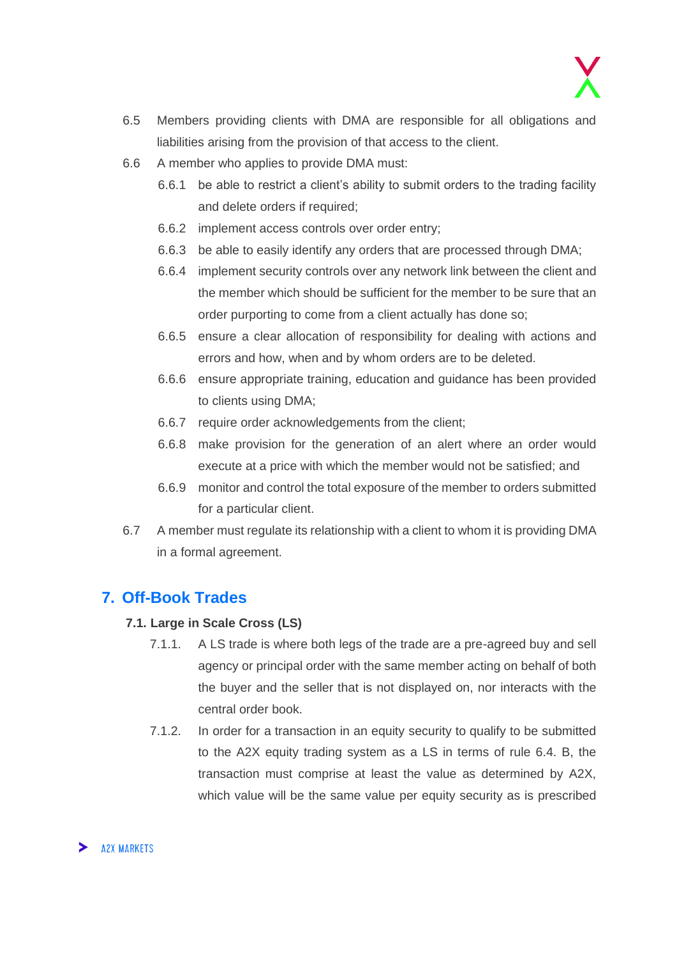

- 6.5 Members providing clients with DMA are responsible for all obligations and liabilities arising from the provision of that access to the client.
- 6.6 A member who applies to provide DMA must:
	- 6.6.1 be able to restrict a client's ability to submit orders to the trading facility and delete orders if required:
	- 6.6.2 implement access controls over order entry;
	- 6.6.3 be able to easily identify any orders that are processed through DMA;
	- 6.6.4 implement security controls over any network link between the client and the member which should be sufficient for the member to be sure that an order purporting to come from a client actually has done so;
	- 6.6.5 ensure a clear allocation of responsibility for dealing with actions and errors and how, when and by whom orders are to be deleted.
	- 6.6.6 ensure appropriate training, education and guidance has been provided to clients using DMA;
	- 6.6.7 require order acknowledgements from the client;
	- 6.6.8 make provision for the generation of an alert where an order would execute at a price with which the member would not be satisfied; and
	- 6.6.9 monitor and control the total exposure of the member to orders submitted for a particular client.
- 6.7 A member must regulate its relationship with a client to whom it is providing DMA in a formal agreement.

### <span id="page-8-0"></span>**7. Off-Book Trades**

#### **7.1. Large in Scale Cross (LS)**

- 7.1.1. A LS trade is where both legs of the trade are a pre-agreed buy and sell agency or principal order with the same member acting on behalf of both the buyer and the seller that is not displayed on, nor interacts with the central order book.
- 7.1.2. In order for a transaction in an equity security to qualify to be submitted to the A2X equity trading system as a LS in terms of rule 6.4. B, the transaction must comprise at least the value as determined by A2X, which value will be the same value per equity security as is prescribed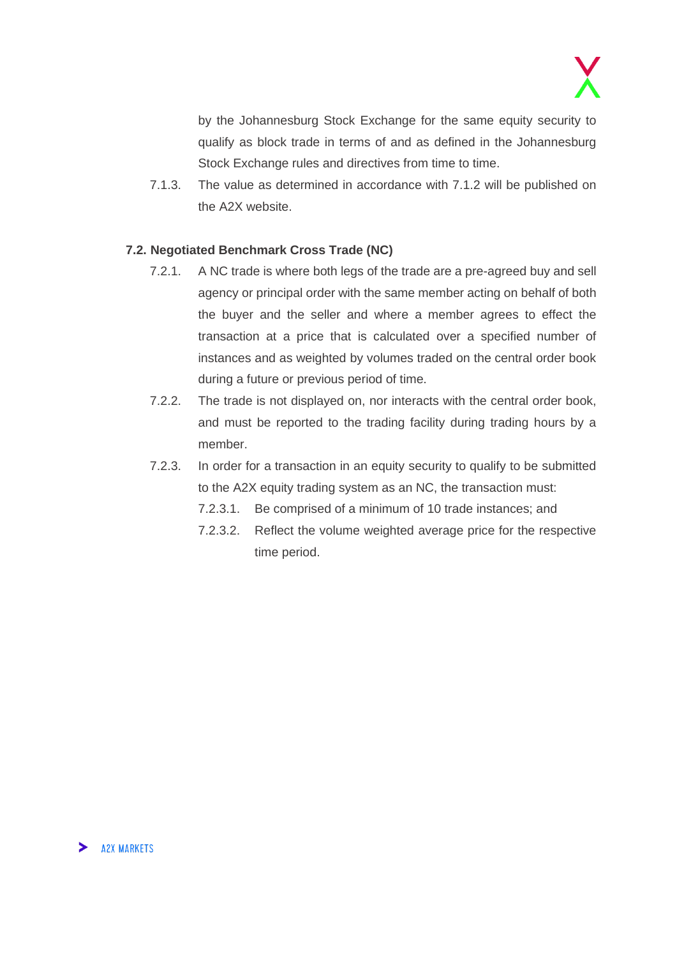by the Johannesburg Stock Exchange for the same equity security to qualify as block trade in terms of and as defined in the Johannesburg Stock Exchange rules and directives from time to time.

7.1.3. The value as determined in accordance with 7.1.2 will be published on the A2X website.

#### **7.2. Negotiated Benchmark Cross Trade (NC)**

- 7.2.1. A NC trade is where both legs of the trade are a pre-agreed buy and sell agency or principal order with the same member acting on behalf of both the buyer and the seller and where a member agrees to effect the transaction at a price that is calculated over a specified number of instances and as weighted by volumes traded on the central order book during a future or previous period of time.
- 7.2.2. The trade is not displayed on, nor interacts with the central order book, and must be reported to the trading facility during trading hours by a member.
- 7.2.3. In order for a transaction in an equity security to qualify to be submitted to the A2X equity trading system as an NC, the transaction must:
	- 7.2.3.1. Be comprised of a minimum of 10 trade instances; and
	- 7.2.3.2. Reflect the volume weighted average price for the respective time period.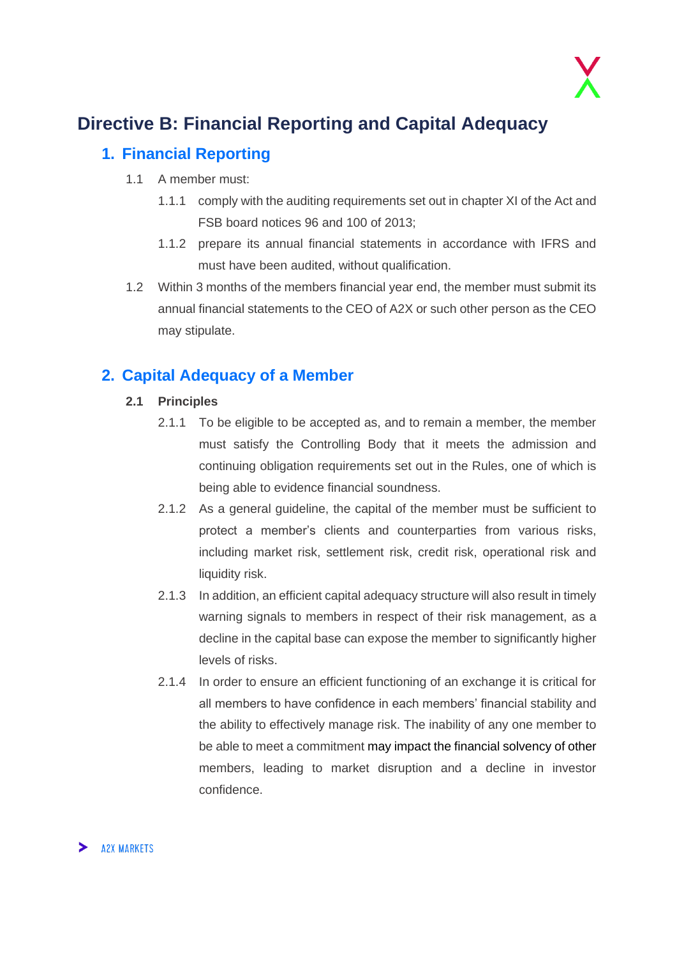

# <span id="page-10-0"></span>**Directive B: Financial Reporting and Capital Adequacy**

### <span id="page-10-1"></span>**1. Financial Reporting**

- 1.1 A member must:
	- 1.1.1 comply with the auditing requirements set out in chapter XI of the Act and FSB board notices 96 and 100 of 2013;
	- 1.1.2 prepare its annual financial statements in accordance with IFRS and must have been audited, without qualification.
- 1.2 Within 3 months of the members financial year end, the member must submit its annual financial statements to the CEO of A2X or such other person as the CEO may stipulate.

## <span id="page-10-2"></span>**2. Capital Adequacy of a Member**

#### **2.1 Principles**

- 2.1.1 To be eligible to be accepted as, and to remain a member, the member must satisfy the Controlling Body that it meets the admission and continuing obligation requirements set out in the Rules, one of which is being able to evidence financial soundness.
- 2.1.2 As a general guideline, the capital of the member must be sufficient to protect a member's clients and counterparties from various risks, including market risk, settlement risk, credit risk, operational risk and liquidity risk.
- 2.1.3 In addition, an efficient capital adequacy structure will also result in timely warning signals to members in respect of their risk management, as a decline in the capital base can expose the member to significantly higher levels of risks.
- 2.1.4 In order to ensure an efficient functioning of an exchange it is critical for all members to have confidence in each members' financial stability and the ability to effectively manage risk. The inability of any one member to be able to meet a commitment may impact the financial solvency of other members, leading to market disruption and a decline in investor confidence.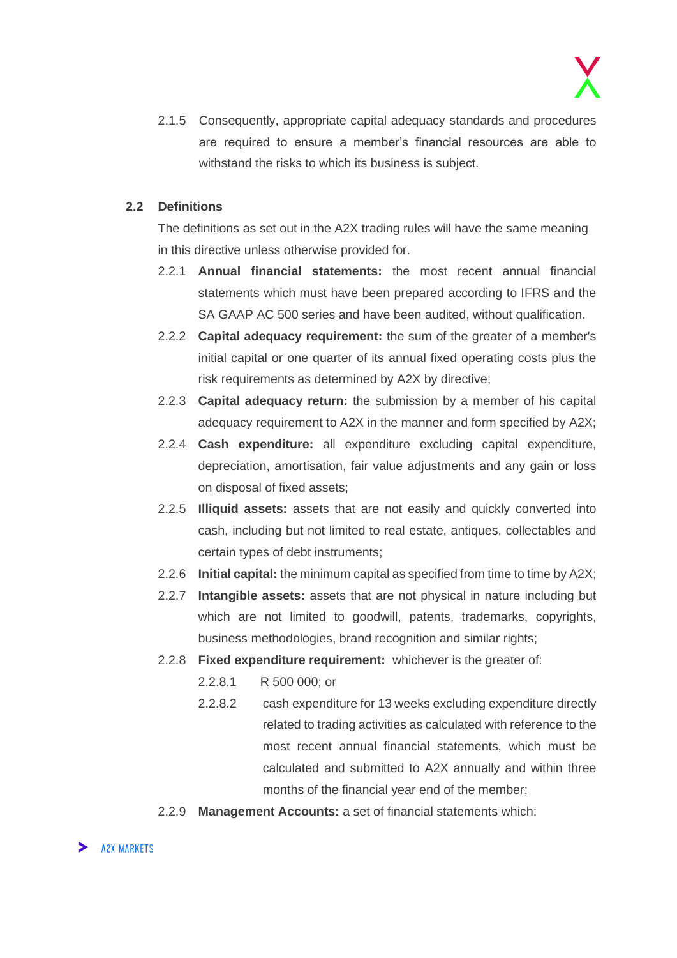2.1.5 Consequently, appropriate capital adequacy standards and procedures are required to ensure a member's financial resources are able to withstand the risks to which its business is subject.

#### **2.2 Definitions**

The definitions as set out in the A2X trading rules will have the same meaning in this directive unless otherwise provided for.

- 2.2.1 **Annual financial statements:** the most recent annual financial statements which must have been prepared according to IFRS and the SA GAAP AC 500 series and have been audited, without qualification.
- 2.2.2 **Capital adequacy requirement:** the sum of the greater of a member's initial capital or one quarter of its annual fixed operating costs plus the risk requirements as determined by A2X by directive;
- 2.2.3 **Capital adequacy return:** the submission by a member of his capital adequacy requirement to A2X in the manner and form specified by A2X;
- 2.2.4 **Cash expenditure:** all expenditure excluding capital expenditure, depreciation, amortisation, fair value adjustments and any gain or loss on disposal of fixed assets;
- 2.2.5 **Illiquid assets:** assets that are not easily and quickly converted into cash, including but not limited to real estate, antiques, collectables and certain types of debt instruments;
- 2.2.6 **Initial capital:** the minimum capital as specified from time to time by A2X;
- 2.2.7 **Intangible assets:** assets that are not physical in nature including but which are not limited to goodwill, patents, trademarks, copyrights, business methodologies, brand recognition and similar rights;
- 2.2.8 **Fixed expenditure requirement:** whichever is the greater of:
	- 2.2.8.1 R 500 000; or
	- 2.2.8.2 cash expenditure for 13 weeks excluding expenditure directly related to trading activities as calculated with reference to the most recent annual financial statements, which must be calculated and submitted to A2X annually and within three months of the financial year end of the member;
- 2.2.9 **Management Accounts:** a set of financial statements which: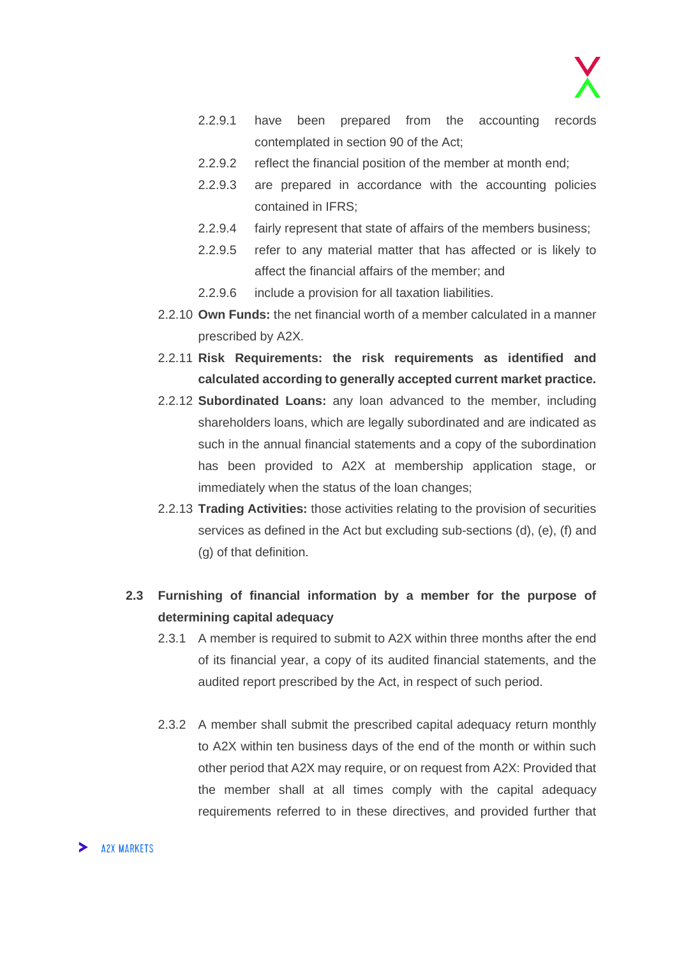

- 2.2.9.1 have been prepared from the accounting records contemplated in section 90 of the Act;
- 2.2.9.2 reflect the financial position of the member at month end;
- 2.2.9.3 are prepared in accordance with the accounting policies contained in IFRS;
- 2.2.9.4 fairly represent that state of affairs of the members business;
- 2.2.9.5 refer to any material matter that has affected or is likely to affect the financial affairs of the member; and
- 2.2.9.6 include a provision for all taxation liabilities.
- 2.2.10 **Own Funds:** the net financial worth of a member calculated in a manner prescribed by A2X.
- 2.2.11 **Risk Requirements: the risk requirements as identified and calculated according to generally accepted current market practice.**
- 2.2.12 **Subordinated Loans:** any loan advanced to the member, including shareholders loans, which are legally subordinated and are indicated as such in the annual financial statements and a copy of the subordination has been provided to A2X at membership application stage, or immediately when the status of the loan changes;
- 2.2.13 **Trading Activities:** those activities relating to the provision of securities services as defined in the Act but excluding sub-sections (d), (e), (f) and (g) of that definition.
- **2.3 Furnishing of financial information by a member for the purpose of determining capital adequacy**
	- 2.3.1 A member is required to submit to A2X within three months after the end of its financial year, a copy of its audited financial statements, and the audited report prescribed by the Act, in respect of such period.
	- 2.3.2 A member shall submit the prescribed capital adequacy return monthly to A2X within ten business days of the end of the month or within such other period that A2X may require, or on request from A2X: Provided that the member shall at all times comply with the capital adequacy requirements referred to in these directives, and provided further that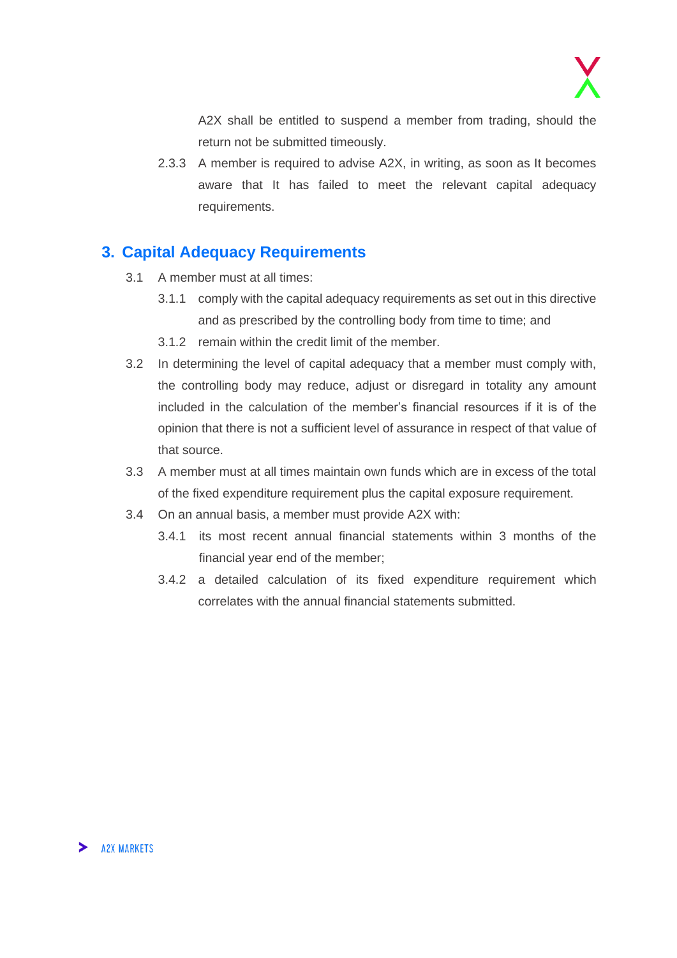

A2X shall be entitled to suspend a member from trading, should the return not be submitted timeously.

2.3.3 A member is required to advise A2X, in writing, as soon as It becomes aware that It has failed to meet the relevant capital adequacy requirements.

### <span id="page-13-0"></span>**3. Capital Adequacy Requirements**

- 3.1 A member must at all times:
	- 3.1.1 comply with the capital adequacy requirements as set out in this directive and as prescribed by the controlling body from time to time; and
	- 3.1.2 remain within the credit limit of the member.
- 3.2 In determining the level of capital adequacy that a member must comply with, the controlling body may reduce, adjust or disregard in totality any amount included in the calculation of the member's financial resources if it is of the opinion that there is not a sufficient level of assurance in respect of that value of that source.
- 3.3 A member must at all times maintain own funds which are in excess of the total of the fixed expenditure requirement plus the capital exposure requirement.
- 3.4 On an annual basis, a member must provide A2X with:
	- 3.4.1 its most recent annual financial statements within 3 months of the financial year end of the member;
	- 3.4.2 a detailed calculation of its fixed expenditure requirement which correlates with the annual financial statements submitted.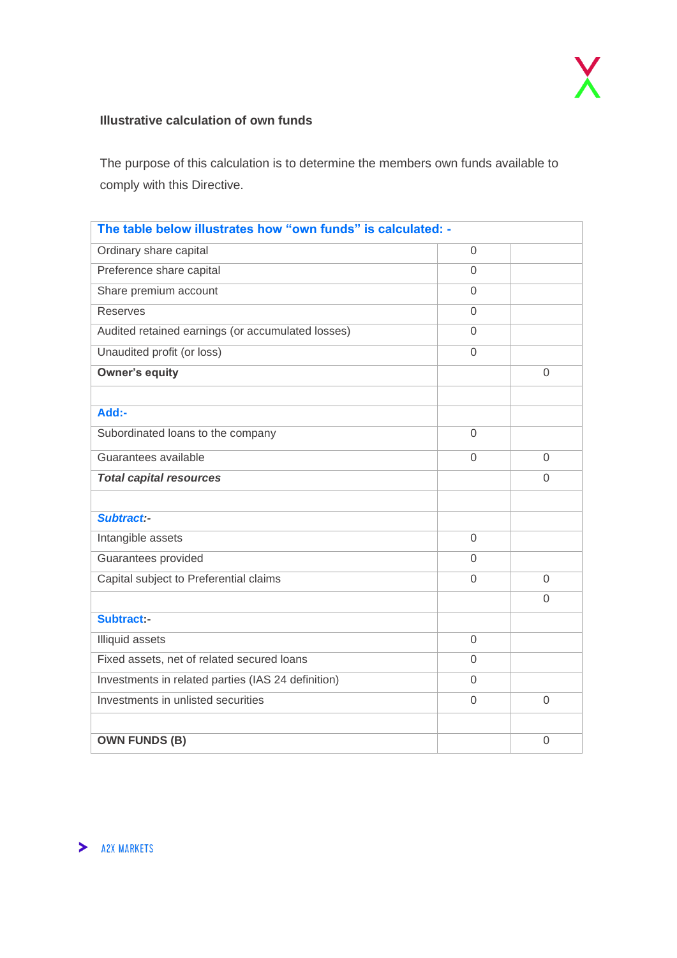#### **Illustrative calculation of own funds**

The purpose of this calculation is to determine the members own funds available to comply with this Directive.

| The table below illustrates how "own funds" is calculated: - |                |                |
|--------------------------------------------------------------|----------------|----------------|
| Ordinary share capital                                       | $\overline{0}$ |                |
| Preference share capital                                     | $\overline{0}$ |                |
| Share premium account                                        | $\overline{0}$ |                |
| <b>Reserves</b>                                              | $\overline{0}$ |                |
| Audited retained earnings (or accumulated losses)            | $\Omega$       |                |
| Unaudited profit (or loss)                                   | $\overline{0}$ |                |
| <b>Owner's equity</b>                                        |                | $\Omega$       |
|                                                              |                |                |
| Add:-                                                        |                |                |
| Subordinated loans to the company                            | $\overline{0}$ |                |
| Guarantees available                                         | $\mathbf 0$    | $\Omega$       |
| <b>Total capital resources</b>                               |                | $\overline{0}$ |
|                                                              |                |                |
| Subtract:-                                                   |                |                |
| Intangible assets                                            | $\overline{0}$ |                |
| Guarantees provided                                          | $\Omega$       |                |
| Capital subject to Preferential claims                       | $\overline{0}$ | $\overline{0}$ |
|                                                              |                | $\Omega$       |
| Subtract:-                                                   |                |                |
| <b>Illiquid assets</b>                                       | $\overline{0}$ |                |
| Fixed assets, net of related secured loans                   | $\overline{0}$ |                |
| Investments in related parties (IAS 24 definition)           |                |                |
| Investments in unlisted securities<br>$\overline{0}$         |                | $\Omega$       |
|                                                              |                |                |
| <b>OWN FUNDS (B)</b>                                         |                | $\overline{0}$ |

> AZX MARKETS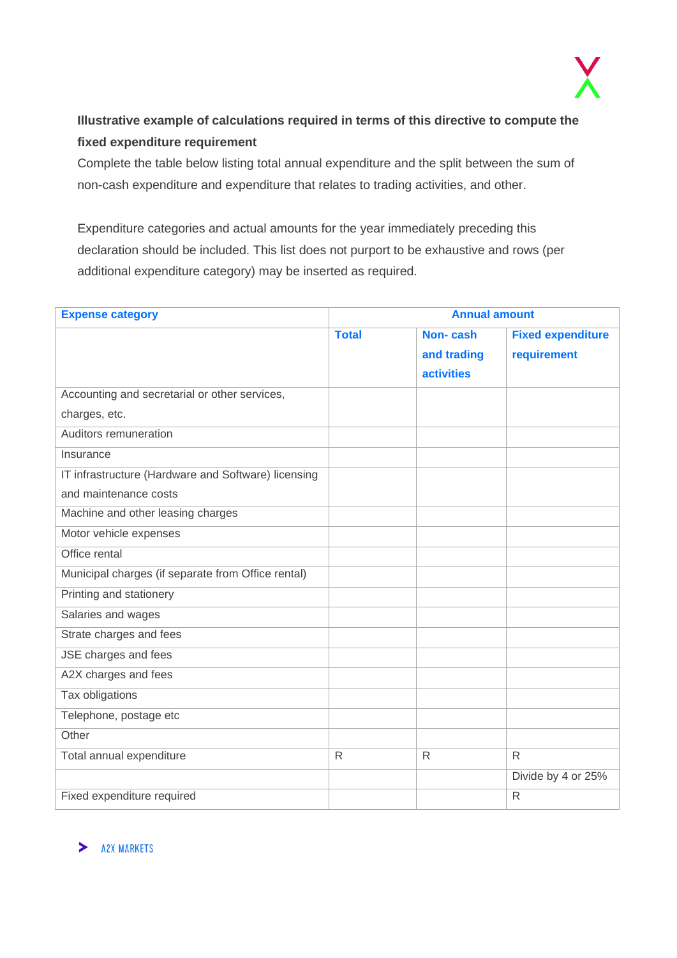

### **Illustrative example of calculations required in terms of this directive to compute the fixed expenditure requirement**

Complete the table below listing total annual expenditure and the split between the sum of non-cash expenditure and expenditure that relates to trading activities, and other.

Expenditure categories and actual amounts for the year immediately preceding this declaration should be included. This list does not purport to be exhaustive and rows (per additional expenditure category) may be inserted as required.

| <b>Expense category</b>                             |              | <b>Annual amount</b> |                          |
|-----------------------------------------------------|--------------|----------------------|--------------------------|
|                                                     | <b>Total</b> | Non-cash             | <b>Fixed expenditure</b> |
|                                                     |              | and trading          | requirement              |
|                                                     |              | <b>activities</b>    |                          |
| Accounting and secretarial or other services,       |              |                      |                          |
| charges, etc.                                       |              |                      |                          |
| Auditors remuneration                               |              |                      |                          |
| Insurance                                           |              |                      |                          |
| IT infrastructure (Hardware and Software) licensing |              |                      |                          |
| and maintenance costs                               |              |                      |                          |
| Machine and other leasing charges                   |              |                      |                          |
| Motor vehicle expenses                              |              |                      |                          |
| Office rental                                       |              |                      |                          |
| Municipal charges (if separate from Office rental)  |              |                      |                          |
| Printing and stationery                             |              |                      |                          |
| Salaries and wages                                  |              |                      |                          |
| Strate charges and fees                             |              |                      |                          |
| JSE charges and fees                                |              |                      |                          |
| A2X charges and fees                                |              |                      |                          |
| Tax obligations                                     |              |                      |                          |
| Telephone, postage etc                              |              |                      |                          |
| Other                                               |              |                      |                          |
| Total annual expenditure                            | $\mathsf{R}$ | $\mathsf{R}$         | $\mathsf{R}$             |
|                                                     |              |                      | Divide by 4 or 25%       |
| Fixed expenditure required                          |              |                      | $\mathsf{R}$             |

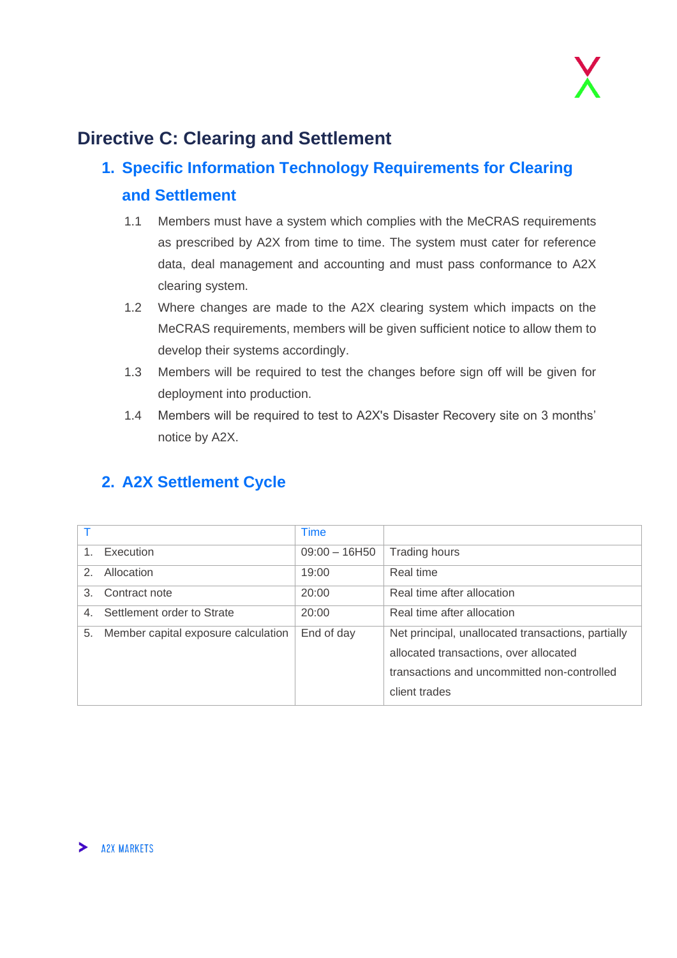

# <span id="page-16-0"></span>**Directive C: Clearing and Settlement**

# <span id="page-16-1"></span>**1. Specific Information Technology Requirements for Clearing and Settlement**

- 1.1 Members must have a system which complies with the MeCRAS requirements as prescribed by A2X from time to time. The system must cater for reference data, deal management and accounting and must pass conformance to A2X clearing system.
- 1.2 Where changes are made to the A2X clearing system which impacts on the MeCRAS requirements, members will be given sufficient notice to allow them to develop their systems accordingly.
- 1.3 Members will be required to test the changes before sign off will be given for deployment into production.
- 1.4 Members will be required to test to A2X's Disaster Recovery site on 3 months' notice by A2X.

<span id="page-16-2"></span>

|  | 2. A2X Settlement Cycle |  |
|--|-------------------------|--|
|  |                         |  |

|               |                                     | <b>Time</b>     |                                                                                                                                                              |
|---------------|-------------------------------------|-----------------|--------------------------------------------------------------------------------------------------------------------------------------------------------------|
| $1_{-}$       | Execution                           | $09:00 - 16H50$ | <b>Trading hours</b>                                                                                                                                         |
| $\mathcal{P}$ | Allocation                          | 19:00           | Real time                                                                                                                                                    |
| 3             | Contract note                       | 20:00           | Real time after allocation                                                                                                                                   |
| $4_{-}$       | Settlement order to Strate          | 20:00           | Real time after allocation                                                                                                                                   |
| 5.            | Member capital exposure calculation | End of day      | Net principal, unallocated transactions, partially<br>allocated transactions, over allocated<br>transactions and uncommitted non-controlled<br>client trades |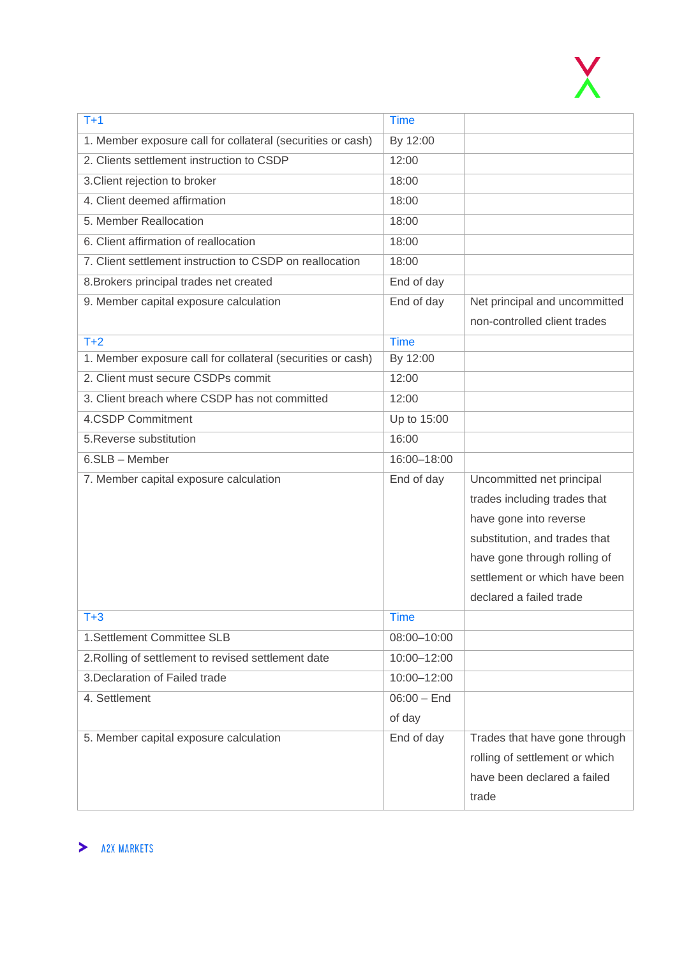

| $T+1$                                                       | <b>Time</b>   |                                |
|-------------------------------------------------------------|---------------|--------------------------------|
| 1. Member exposure call for collateral (securities or cash) | By 12:00      |                                |
| 2. Clients settlement instruction to CSDP                   | 12:00         |                                |
| 3. Client rejection to broker                               | 18:00         |                                |
| 4. Client deemed affirmation                                | 18:00         |                                |
| 5. Member Reallocation                                      | 18:00         |                                |
| 6. Client affirmation of reallocation                       | 18:00         |                                |
| 7. Client settlement instruction to CSDP on reallocation    | 18:00         |                                |
| 8. Brokers principal trades net created                     | End of day    |                                |
| 9. Member capital exposure calculation                      | End of day    | Net principal and uncommitted  |
|                                                             |               | non-controlled client trades   |
| $T+2$                                                       | <b>Time</b>   |                                |
| 1. Member exposure call for collateral (securities or cash) | By 12:00      |                                |
| 2. Client must secure CSDPs commit                          | 12:00         |                                |
| 3. Client breach where CSDP has not committed               | 12:00         |                                |
| 4.CSDP Commitment                                           | Up to 15:00   |                                |
| 5. Reverse substitution                                     | 16:00         |                                |
| 6.SLB - Member                                              | 16:00-18:00   |                                |
| 7. Member capital exposure calculation                      | End of day    | Uncommitted net principal      |
|                                                             |               | trades including trades that   |
|                                                             |               | have gone into reverse         |
|                                                             |               | substitution, and trades that  |
|                                                             |               | have gone through rolling of   |
|                                                             |               | settlement or which have been  |
|                                                             |               | declared a failed trade        |
| $T + 3$                                                     | <b>Time</b>   |                                |
| 1.Settlement Committee SLB                                  | 08:00-10:00   |                                |
| 2. Rolling of settlement to revised settlement date         | 10:00-12:00   |                                |
| 3. Declaration of Failed trade                              | 10:00-12:00   |                                |
| 4. Settlement                                               | $06:00 -$ End |                                |
|                                                             | of day        |                                |
| 5. Member capital exposure calculation                      | End of day    | Trades that have gone through  |
|                                                             |               | rolling of settlement or which |
|                                                             |               | have been declared a failed    |
|                                                             |               | trade                          |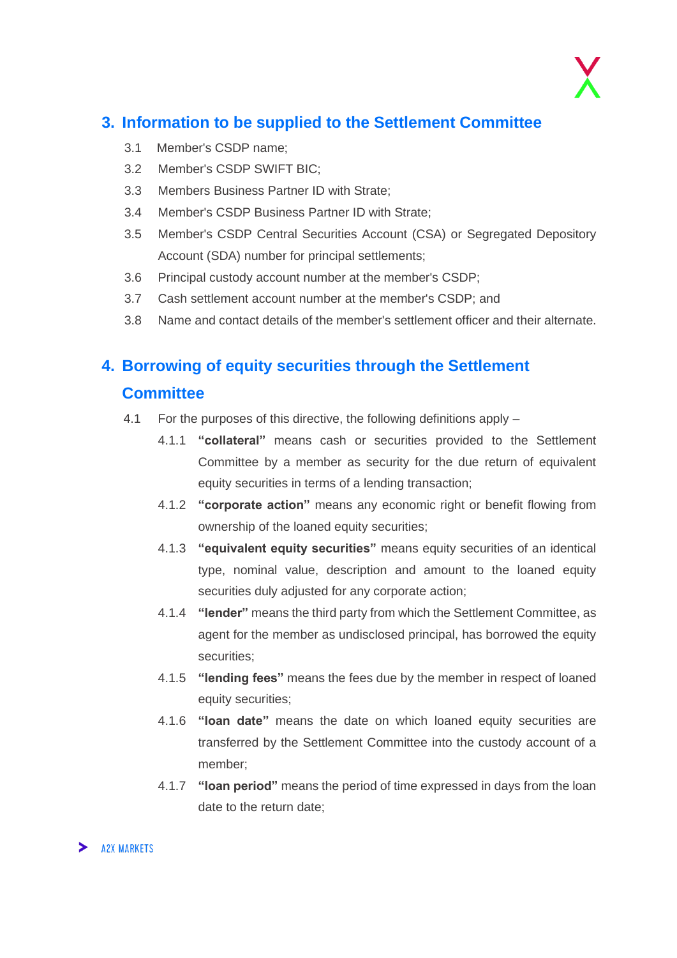

### <span id="page-18-0"></span>**3. Information to be supplied to the Settlement Committee**

- 3.1 Member's CSDP name;
- 3.2 Member's CSDP SWIFT BIC;
- 3.3 Members Business Partner ID with Strate;
- 3.4 Member's CSDP Business Partner ID with Strate;
- 3.5 Member's CSDP Central Securities Account (CSA) or Segregated Depository Account (SDA) number for principal settlements;
- 3.6 Principal custody account number at the member's CSDP;
- 3.7 Cash settlement account number at the member's CSDP; and
- 3.8 Name and contact details of the member's settlement officer and their alternate.

#### <span id="page-18-1"></span>**4. Borrowing of equity securities through the Settlement**

#### **Committee**

- 4.1 For the purposes of this directive, the following definitions apply
	- 4.1.1 **"collateral"** means cash or securities provided to the Settlement Committee by a member as security for the due return of equivalent equity securities in terms of a lending transaction;
	- 4.1.2 **"corporate action"** means any economic right or benefit flowing from ownership of the loaned equity securities;
	- 4.1.3 **"equivalent equity securities"** means equity securities of an identical type, nominal value, description and amount to the loaned equity securities duly adjusted for any corporate action;
	- 4.1.4 **"lender"** means the third party from which the Settlement Committee, as agent for the member as undisclosed principal, has borrowed the equity securities;
	- 4.1.5 **"lending fees"** means the fees due by the member in respect of loaned equity securities;
	- 4.1.6 **"loan date"** means the date on which loaned equity securities are transferred by the Settlement Committee into the custody account of a member;
	- 4.1.7 **"loan period"** means the period of time expressed in days from the loan date to the return date;

#### > A2X MARKETS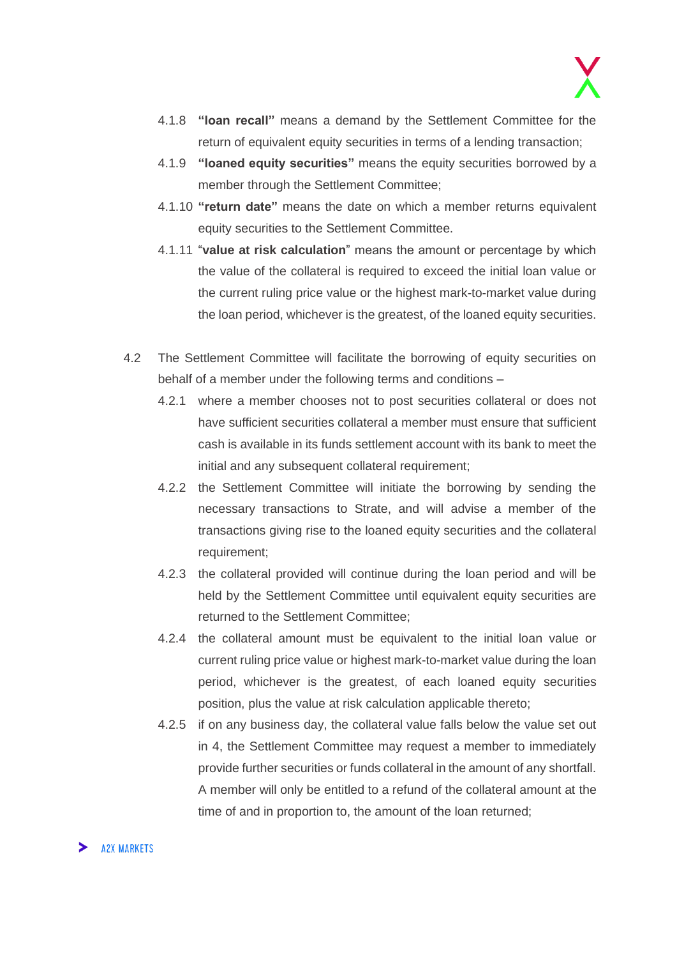- 4.1.8 **"loan recall"** means a demand by the Settlement Committee for the return of equivalent equity securities in terms of a lending transaction;
- 4.1.9 **"loaned equity securities"** means the equity securities borrowed by a member through the Settlement Committee;
- 4.1.10 **"return date"** means the date on which a member returns equivalent equity securities to the Settlement Committee.
- 4.1.11 "**value at risk calculation**" means the amount or percentage by which the value of the collateral is required to exceed the initial loan value or the current ruling price value or the highest mark-to-market value during the loan period, whichever is the greatest, of the loaned equity securities.
- 4.2 The Settlement Committee will facilitate the borrowing of equity securities on behalf of a member under the following terms and conditions –
	- 4.2.1 where a member chooses not to post securities collateral or does not have sufficient securities collateral a member must ensure that sufficient cash is available in its funds settlement account with its bank to meet the initial and any subsequent collateral requirement;
	- 4.2.2 the Settlement Committee will initiate the borrowing by sending the necessary transactions to Strate, and will advise a member of the transactions giving rise to the loaned equity securities and the collateral requirement;
	- 4.2.3 the collateral provided will continue during the loan period and will be held by the Settlement Committee until equivalent equity securities are returned to the Settlement Committee;
	- 4.2.4 the collateral amount must be equivalent to the initial loan value or current ruling price value or highest mark-to-market value during the loan period, whichever is the greatest, of each loaned equity securities position, plus the value at risk calculation applicable thereto;
	- 4.2.5 if on any business day, the collateral value falls below the value set out in 4, the Settlement Committee may request a member to immediately provide further securities or funds collateral in the amount of any shortfall. A member will only be entitled to a refund of the collateral amount at the time of and in proportion to, the amount of the loan returned;

#### **A2X MARKETS**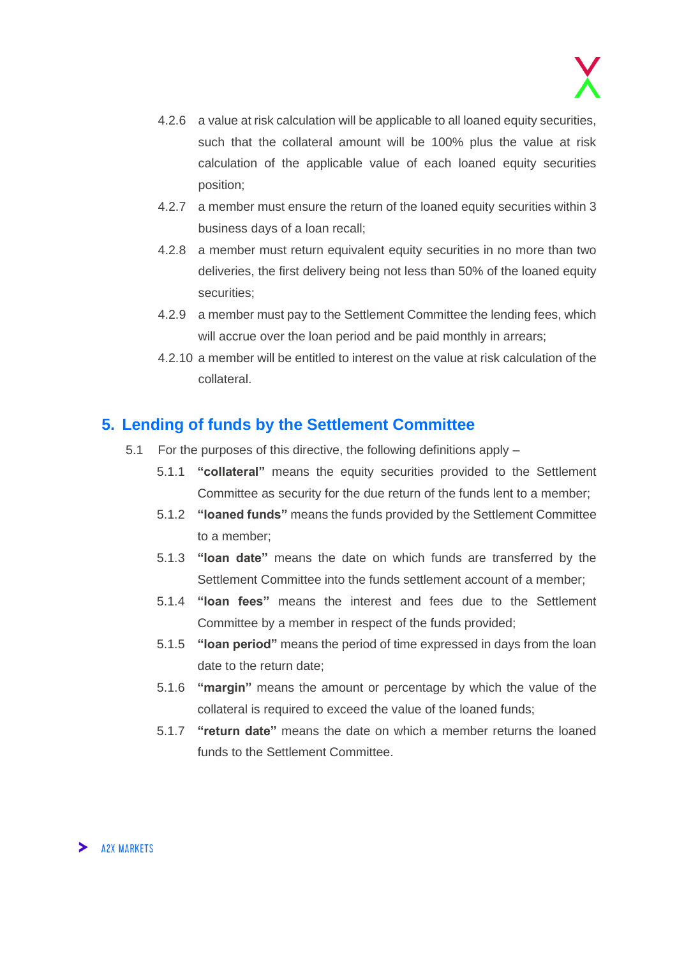- 4.2.6 a value at risk calculation will be applicable to all loaned equity securities, such that the collateral amount will be 100% plus the value at risk calculation of the applicable value of each loaned equity securities position;
- 4.2.7 a member must ensure the return of the loaned equity securities within 3 business days of a loan recall;
- 4.2.8 a member must return equivalent equity securities in no more than two deliveries, the first delivery being not less than 50% of the loaned equity securities;
- 4.2.9 a member must pay to the Settlement Committee the lending fees, which will accrue over the loan period and be paid monthly in arrears:
- 4.2.10 a member will be entitled to interest on the value at risk calculation of the collateral.

### <span id="page-20-0"></span>**5. Lending of funds by the Settlement Committee**

- 5.1 For the purposes of this directive, the following definitions apply
	- 5.1.1 **"collateral"** means the equity securities provided to the Settlement Committee as security for the due return of the funds lent to a member;
	- 5.1.2 **"loaned funds"** means the funds provided by the Settlement Committee to a member;
	- 5.1.3 **"loan date"** means the date on which funds are transferred by the Settlement Committee into the funds settlement account of a member;
	- 5.1.4 **"loan fees"** means the interest and fees due to the Settlement Committee by a member in respect of the funds provided;
	- 5.1.5 **"loan period"** means the period of time expressed in days from the loan date to the return date;
	- 5.1.6 **"margin"** means the amount or percentage by which the value of the collateral is required to exceed the value of the loaned funds;
	- 5.1.7 **"return date"** means the date on which a member returns the loaned funds to the Settlement Committee.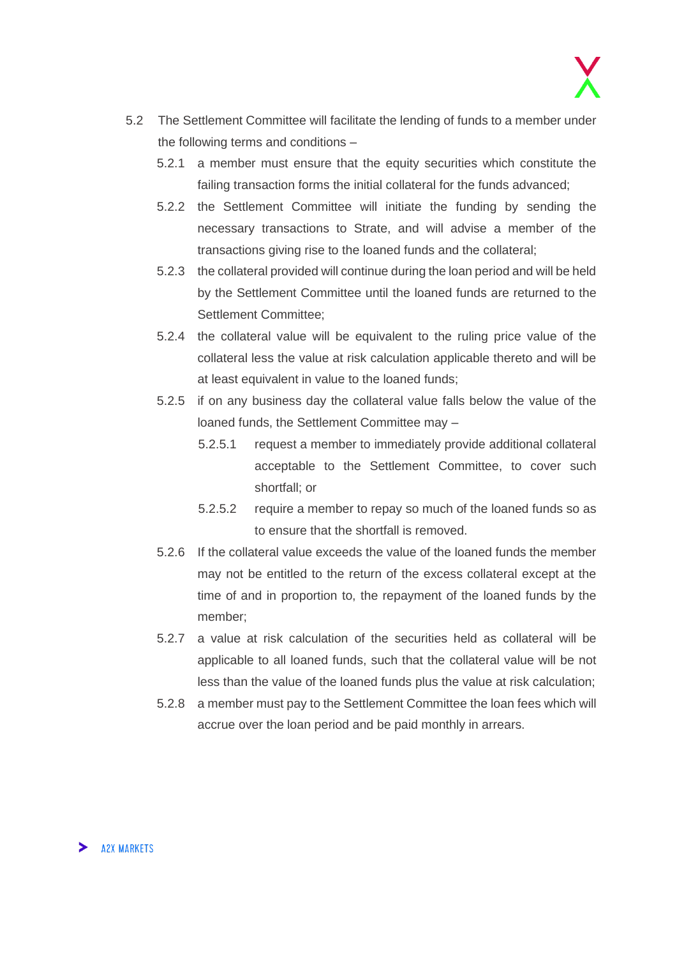- 5.2 The Settlement Committee will facilitate the lending of funds to a member under the following terms and conditions –
	- 5.2.1 a member must ensure that the equity securities which constitute the failing transaction forms the initial collateral for the funds advanced;
	- 5.2.2 the Settlement Committee will initiate the funding by sending the necessary transactions to Strate, and will advise a member of the transactions giving rise to the loaned funds and the collateral;
	- 5.2.3 the collateral provided will continue during the loan period and will be held by the Settlement Committee until the loaned funds are returned to the Settlement Committee;
	- 5.2.4 the collateral value will be equivalent to the ruling price value of the collateral less the value at risk calculation applicable thereto and will be at least equivalent in value to the loaned funds;
	- 5.2.5 if on any business day the collateral value falls below the value of the loaned funds, the Settlement Committee may –
		- 5.2.5.1 request a member to immediately provide additional collateral acceptable to the Settlement Committee, to cover such shortfall; or
		- 5.2.5.2 require a member to repay so much of the loaned funds so as to ensure that the shortfall is removed.
	- 5.2.6 If the collateral value exceeds the value of the loaned funds the member may not be entitled to the return of the excess collateral except at the time of and in proportion to, the repayment of the loaned funds by the member;
	- 5.2.7 a value at risk calculation of the securities held as collateral will be applicable to all loaned funds, such that the collateral value will be not less than the value of the loaned funds plus the value at risk calculation;
	- 5.2.8 a member must pay to the Settlement Committee the loan fees which will accrue over the loan period and be paid monthly in arrears.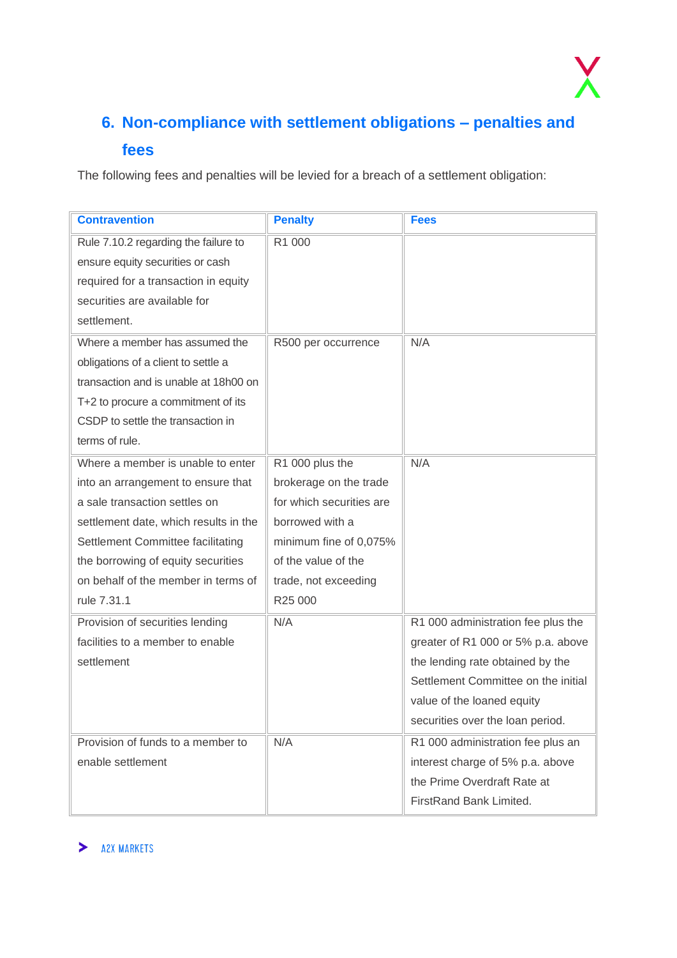

# <span id="page-22-0"></span>**6. Non-compliance with settlement obligations – penalties and fees**

The following fees and penalties will be levied for a breach of a settlement obligation:

| <b>Contravention</b>                  | <b>Penalty</b>           | <b>Fees</b>                         |
|---------------------------------------|--------------------------|-------------------------------------|
| Rule 7.10.2 regarding the failure to  | R1 000                   |                                     |
| ensure equity securities or cash      |                          |                                     |
| required for a transaction in equity  |                          |                                     |
| securities are available for          |                          |                                     |
| settlement.                           |                          |                                     |
| Where a member has assumed the        | R500 per occurrence      | N/A                                 |
| obligations of a client to settle a   |                          |                                     |
| transaction and is unable at 18h00 on |                          |                                     |
| T+2 to procure a commitment of its    |                          |                                     |
| CSDP to settle the transaction in     |                          |                                     |
| terms of rule.                        |                          |                                     |
| Where a member is unable to enter     | R1 000 plus the          | N/A                                 |
| into an arrangement to ensure that    | brokerage on the trade   |                                     |
| a sale transaction settles on         | for which securities are |                                     |
| settlement date, which results in the | borrowed with a          |                                     |
| Settlement Committee facilitating     | minimum fine of 0,075%   |                                     |
| the borrowing of equity securities    | of the value of the      |                                     |
| on behalf of the member in terms of   | trade, not exceeding     |                                     |
| rule 7.31.1                           | R25 000                  |                                     |
| Provision of securities lending       | N/A                      | R1 000 administration fee plus the  |
| facilities to a member to enable      |                          | greater of R1 000 or 5% p.a. above  |
| settlement                            |                          | the lending rate obtained by the    |
|                                       |                          | Settlement Committee on the initial |
|                                       |                          | value of the loaned equity          |
|                                       |                          | securities over the loan period.    |
| Provision of funds to a member to     | N/A                      | R1 000 administration fee plus an   |
| enable settlement                     |                          | interest charge of 5% p.a. above    |
|                                       |                          | the Prime Overdraft Rate at         |
|                                       |                          | FirstRand Bank Limited.             |

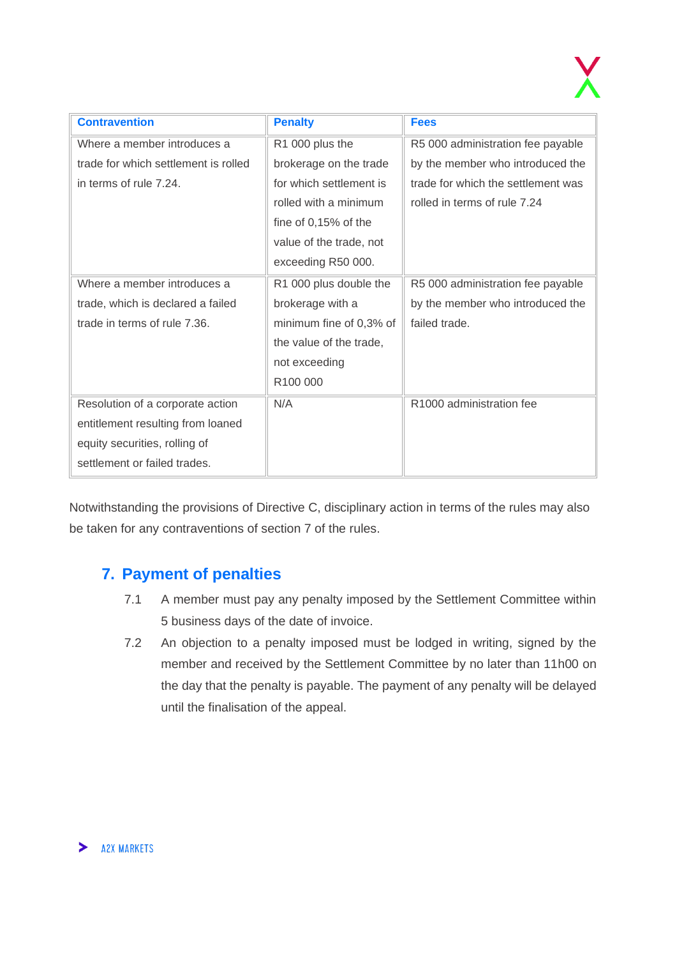| <b>Contravention</b>                 | <b>Penalty</b>          | <b>Fees</b>                        |
|--------------------------------------|-------------------------|------------------------------------|
| Where a member introduces a          | R1 000 plus the         | R5 000 administration fee payable  |
| trade for which settlement is rolled | brokerage on the trade  | by the member who introduced the   |
| in terms of rule 7.24.               | for which settlement is | trade for which the settlement was |
|                                      | rolled with a minimum   | rolled in terms of rule 7.24       |
|                                      | fine of 0,15% of the    |                                    |
|                                      | value of the trade, not |                                    |
|                                      | exceeding R50 000.      |                                    |
| Where a member introduces a          | R1 000 plus double the  | R5 000 administration fee payable  |
| trade, which is declared a failed    | brokerage with a        | by the member who introduced the   |
| trade in terms of rule 7.36.         | minimum fine of 0,3% of | failed trade.                      |
|                                      | the value of the trade, |                                    |
|                                      | not exceeding           |                                    |
|                                      | R100 000                |                                    |
| Resolution of a corporate action     | N/A                     | R1000 administration fee           |
| entitlement resulting from loaned    |                         |                                    |
| equity securities, rolling of        |                         |                                    |
| settlement or failed trades.         |                         |                                    |

Notwithstanding the provisions of Directive C, disciplinary action in terms of the rules may also be taken for any contraventions of section 7 of the rules.

# <span id="page-23-0"></span>**7. Payment of penalties**

- 7.1 A member must pay any penalty imposed by the Settlement Committee within 5 business days of the date of invoice.
- 7.2 An objection to a penalty imposed must be lodged in writing, signed by the member and received by the Settlement Committee by no later than 11h00 on the day that the penalty is payable. The payment of any penalty will be delayed until the finalisation of the appeal.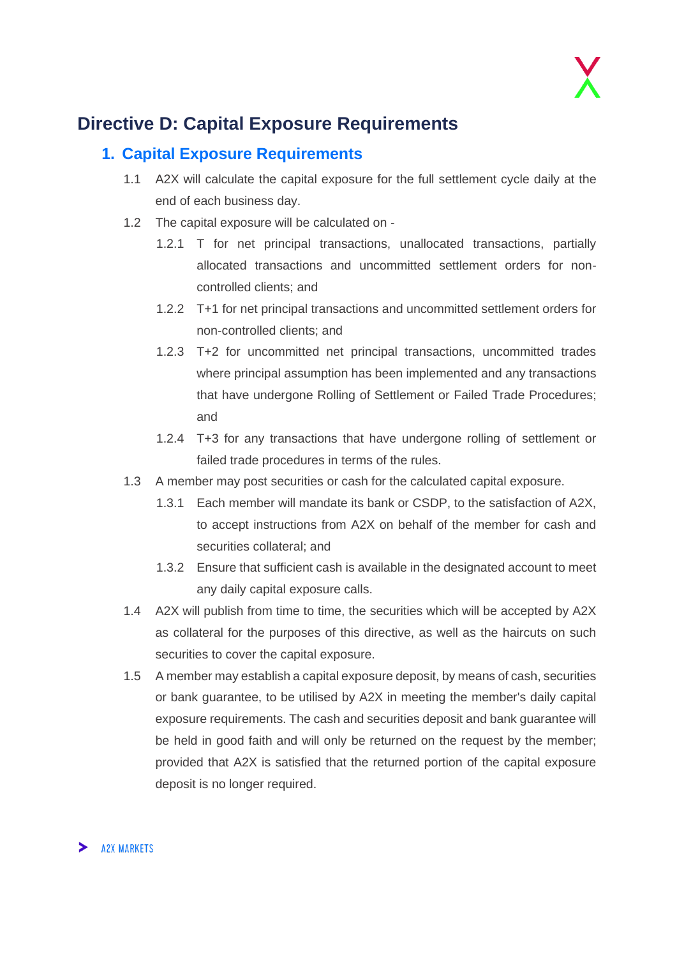

# <span id="page-24-0"></span>**Directive D: Capital Exposure Requirements**

### <span id="page-24-1"></span>**1. Capital Exposure Requirements**

- 1.1 A2X will calculate the capital exposure for the full settlement cycle daily at the end of each business day.
- 1.2 The capital exposure will be calculated on
	- 1.2.1 T for net principal transactions, unallocated transactions, partially allocated transactions and uncommitted settlement orders for noncontrolled clients; and
	- 1.2.2 T+1 for net principal transactions and uncommitted settlement orders for non-controlled clients; and
	- 1.2.3 T+2 for uncommitted net principal transactions, uncommitted trades where principal assumption has been implemented and any transactions that have undergone Rolling of Settlement or Failed Trade Procedures; and
	- 1.2.4 T+3 for any transactions that have undergone rolling of settlement or failed trade procedures in terms of the rules.
- 1.3 A member may post securities or cash for the calculated capital exposure.
	- 1.3.1 Each member will mandate its bank or CSDP, to the satisfaction of A2X, to accept instructions from A2X on behalf of the member for cash and securities collateral; and
	- 1.3.2 Ensure that sufficient cash is available in the designated account to meet any daily capital exposure calls.
- 1.4 A2X will publish from time to time, the securities which will be accepted by A2X as collateral for the purposes of this directive, as well as the haircuts on such securities to cover the capital exposure.
- 1.5 A member may establish a capital exposure deposit, by means of cash, securities or bank guarantee, to be utilised by A2X in meeting the member's daily capital exposure requirements. The cash and securities deposit and bank guarantee will be held in good faith and will only be returned on the request by the member; provided that A2X is satisfied that the returned portion of the capital exposure deposit is no longer required.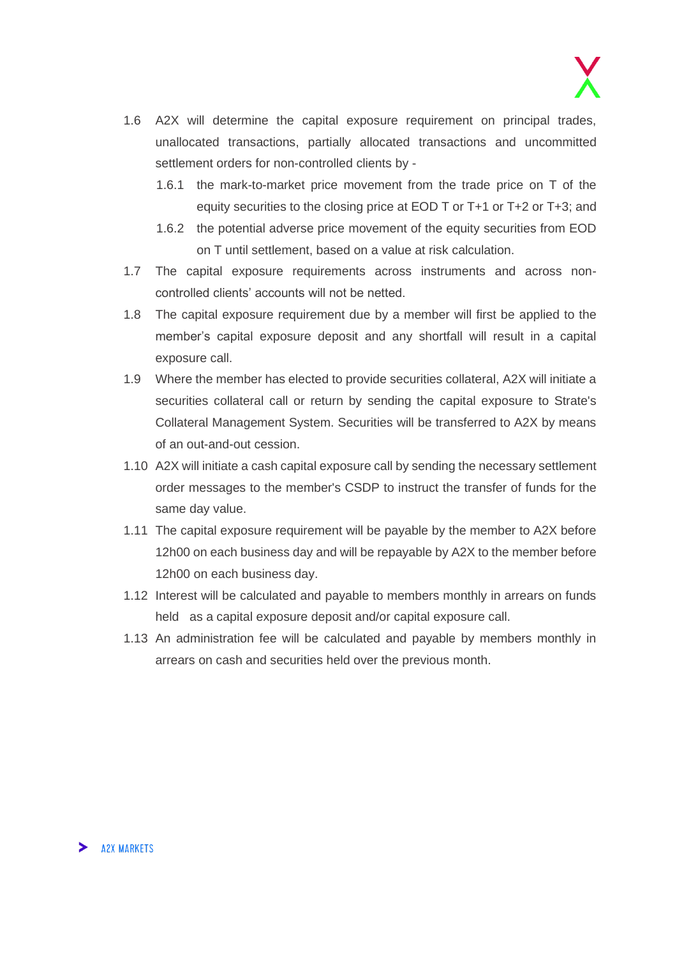- 1.6 A2X will determine the capital exposure requirement on principal trades, unallocated transactions, partially allocated transactions and uncommitted settlement orders for non-controlled clients by -
	- 1.6.1 the mark-to-market price movement from the trade price on T of the equity securities to the closing price at EOD T or T+1 or T+2 or T+3; and
	- 1.6.2 the potential adverse price movement of the equity securities from EOD on T until settlement, based on a value at risk calculation.
- 1.7 The capital exposure requirements across instruments and across noncontrolled clients' accounts will not be netted.
- 1.8 The capital exposure requirement due by a member will first be applied to the member's capital exposure deposit and any shortfall will result in a capital exposure call.
- 1.9 Where the member has elected to provide securities collateral, A2X will initiate a securities collateral call or return by sending the capital exposure to Strate's Collateral Management System. Securities will be transferred to A2X by means of an out-and-out cession.
- 1.10 A2X will initiate a cash capital exposure call by sending the necessary settlement order messages to the member's CSDP to instruct the transfer of funds for the same day value.
- 1.11 The capital exposure requirement will be payable by the member to A2X before 12h00 on each business day and will be repayable by A2X to the member before 12h00 on each business day.
- 1.12 Interest will be calculated and payable to members monthly in arrears on funds held as a capital exposure deposit and/or capital exposure call.
- 1.13 An administration fee will be calculated and payable by members monthly in arrears on cash and securities held over the previous month.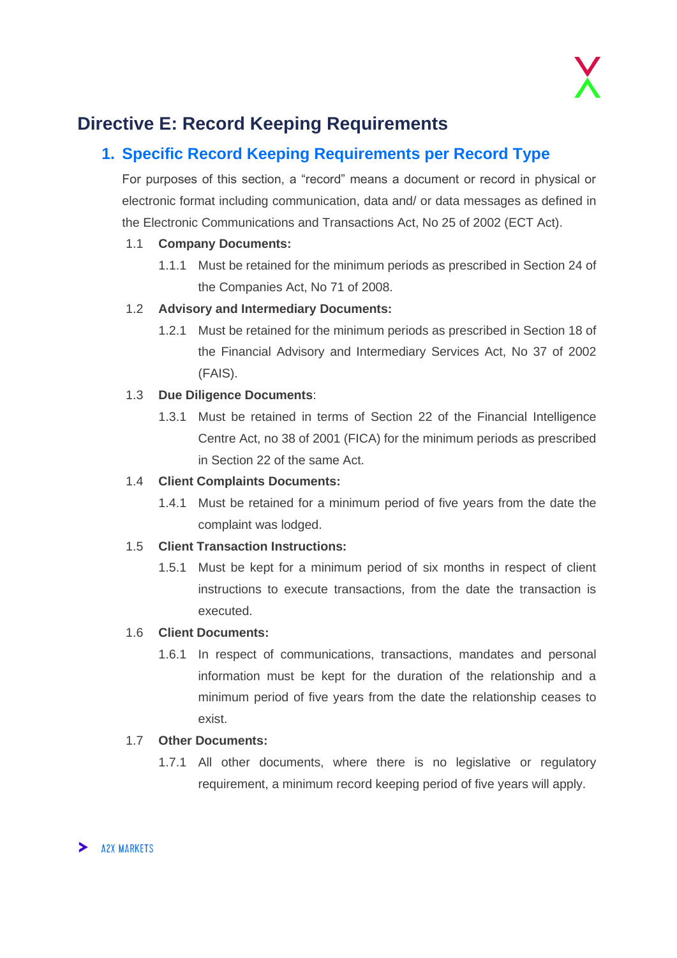# <span id="page-26-0"></span>**Directive E: Record Keeping Requirements**

# <span id="page-26-1"></span>**1. Specific Record Keeping Requirements per Record Type**

For purposes of this section, a "record" means a document or record in physical or electronic format including communication, data and/ or data messages as defined in the Electronic Communications and Transactions Act, No 25 of 2002 (ECT Act).

#### 1.1 **Company Documents:**

1.1.1 Must be retained for the minimum periods as prescribed in Section 24 of the Companies Act, No 71 of 2008.

#### 1.2 **Advisory and Intermediary Documents:**

1.2.1 Must be retained for the minimum periods as prescribed in Section 18 of the Financial Advisory and Intermediary Services Act, No 37 of 2002 (FAIS).

#### 1.3 **Due Diligence Documents**:

1.3.1 Must be retained in terms of Section 22 of the Financial Intelligence Centre Act, no 38 of 2001 (FICA) for the minimum periods as prescribed in Section 22 of the same Act.

#### 1.4 **Client Complaints Documents:**

1.4.1 Must be retained for a minimum period of five years from the date the complaint was lodged.

#### 1.5 **Client Transaction Instructions:**

1.5.1 Must be kept for a minimum period of six months in respect of client instructions to execute transactions, from the date the transaction is executed.

#### 1.6 **Client Documents:**

1.6.1 In respect of communications, transactions, mandates and personal information must be kept for the duration of the relationship and a minimum period of five years from the date the relationship ceases to exist.

#### 1.7 **Other Documents:**

1.7.1 All other documents, where there is no legislative or regulatory requirement, a minimum record keeping period of five years will apply.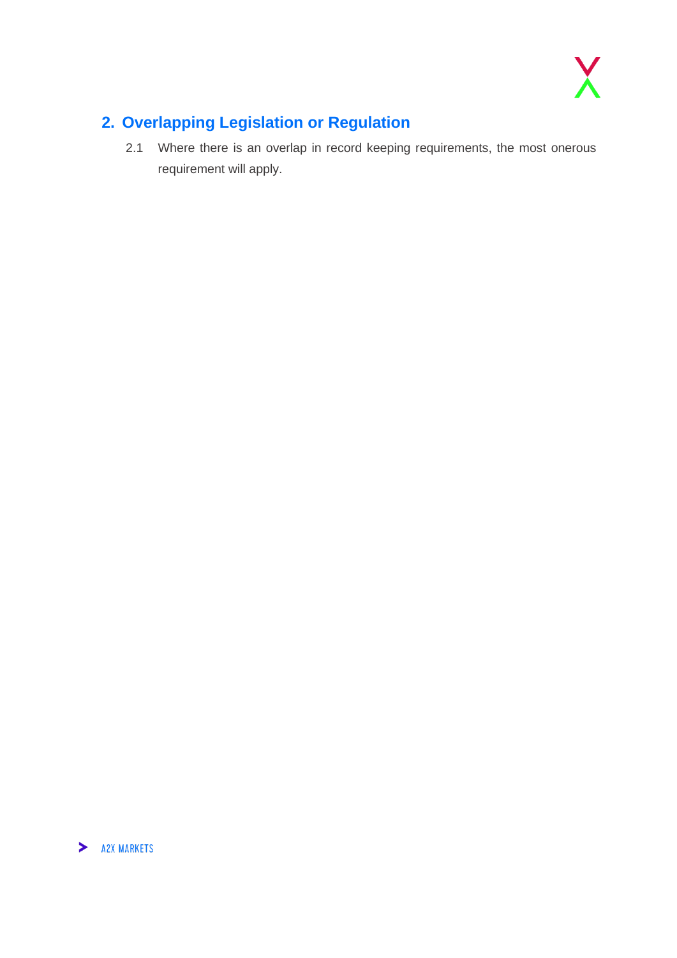

# <span id="page-27-0"></span>**2. Overlapping Legislation or Regulation**

2.1 Where there is an overlap in record keeping requirements, the most onerous requirement will apply.